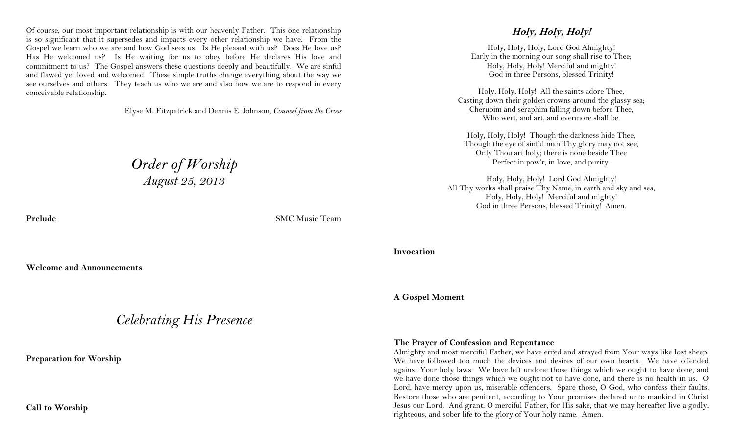Of course, our most important relationship is with our heavenly Father. This one relationship is so significant that it supersedes and impacts every other relationship we have. From the Gospel we learn who we are and how God sees us. Is He pleased with us? Does He love us? Has He welcomed us? Is He waiting for us to obey before He declares His love and commitment to us? The Gospel answers these questions deeply and beautifully. We are sinful and flawed yet loved and welcomed. These simple truths change everything about the way we see ourselves and others. They teach us who we are and also how we are to respond in every conceivable relationship.

Elyse M. Fitzpatrick and Dennis E. Johnson, *Counsel from the Cross*

*Order of Worship August 25, 2013*

**Prelude** SMC Music Team

**Welcome and Announcements**

*Celebrating His Presence*

**Preparation for Worship**

**Call to Worship**

## **Holy, Holy, Holy!**

Holy, Holy, Holy, Lord God Almighty! Early in the morning our song shall rise to Thee; Holy, Holy, Holy! Merciful and mighty! God in three Persons, blessed Trinity!

Holy, Holy, Holy! All the saints adore Thee, Casting down their golden crowns around the glassy sea; Cherubim and seraphim falling down before Thee, Who wert, and art, and evermore shall be.

Holy, Holy, Holy! Though the darkness hide Thee, Though the eye of sinful man Thy glory may not see, Only Thou art holy; there is none beside Thee Perfect in pow'r, in love, and purity.

Holy, Holy, Holy! Lord God Almighty! All Thy works shall praise Thy Name, in earth and sky and sea; Holy, Holy, Holy! Merciful and mighty! God in three Persons, blessed Trinity! Amen.

**Invocation**

**A Gospel Moment**

### **The Prayer of Confession and Repentance**

Almighty and most merciful Father, we have erred and strayed from Your ways like lost sheep. We have followed too much the devices and desires of our own hearts. We have offended against Your holy laws. We have left undone those things which we ought to have done, and we have done those things which we ought not to have done, and there is no health in us. O Lord, have mercy upon us, miserable offenders. Spare those, O God, who confess their faults. Restore those who are penitent, according to Your promises declared unto mankind in Christ Jesus our Lord. And grant, O merciful Father, for His sake, that we may hereafter live a godly, righteous, and sober life to the glory of Your holy name. Amen.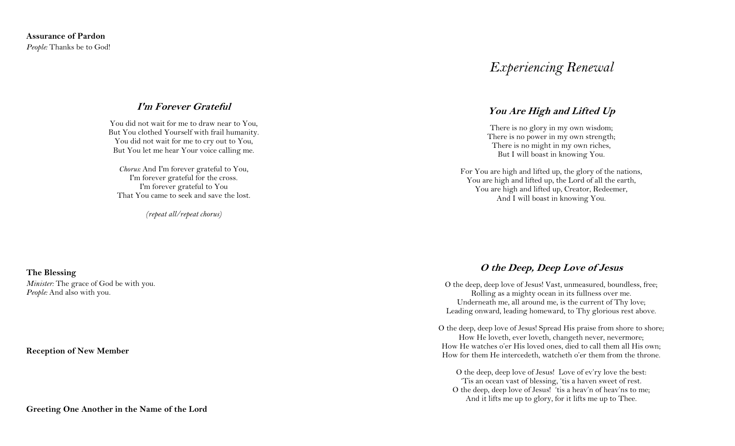## *Experiencing Renewal*

## **I'm Forever Grateful**

You did not wait for me to draw near to You, But You clothed Yourself with frail humanity. You did not wait for me to cry out to You, But You let me hear Your voice calling me.

*Chorus:* And I'm forever grateful to You, I'm forever grateful for the cross. I'm forever grateful to You That You came to seek and save the lost.

*(repeat all/repeat chorus)*

**The Blessing** *Minister:* The grace of God be with you. *People:* And also with you.

**Reception of New Member**

#### **Greeting One Another in the Name of the Lord**

### **You Are High and Lifted Up**

There is no glory in my own wisdom; There is no power in my own strength; There is no might in my own riches, But I will boast in knowing You.

For You are high and lifted up, the glory of the nations, You are high and lifted up, the Lord of all the earth, You are high and lifted up, Creator, Redeemer, And I will boast in knowing You.

### **O the Deep, Deep Love of Jesus**

O the deep, deep love of Jesus! Vast, unmeasured, boundless, free; Rolling as a mighty ocean in its fullness over me. Underneath me, all around me, is the current of Thy love; Leading onward, leading homeward, to Thy glorious rest above.

O the deep, deep love of Jesus! Spread His praise from shore to shore; How He loveth, ever loveth, changeth never, nevermore; How He watches o'er His loved ones, died to call them all His own; How for them He intercedeth, watcheth o'er them from the throne.

O the deep, deep love of Jesus! Love of ev'ry love the best: 'Tis an ocean vast of blessing, 'tis a haven sweet of rest. O the deep, deep love of Jesus! 'tis a heav'n of heav'ns to me; And it lifts me up to glory, for it lifts me up to Thee.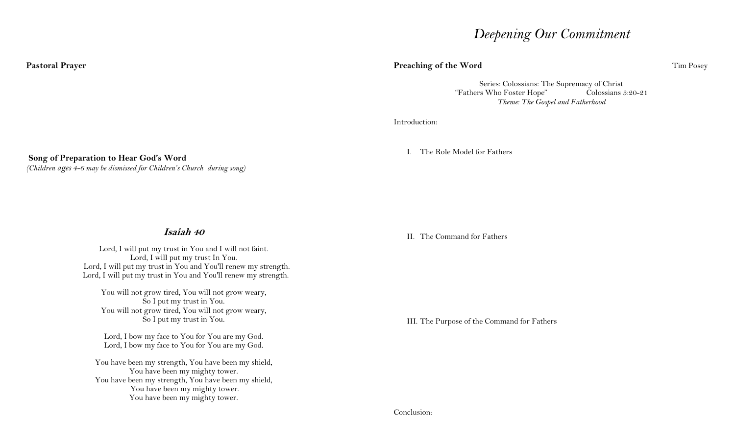## *Deepening Our Commitment*

#### **Preaching of the Word** Tim Posey

Series: Colossians: The Supremacy of Christ<br>rs Who Foster Hope" Colossians 3:20-21 "Fathers Who Foster Hope" *Theme: The Gospel and Fatherhood*

Introduction:

#### I. The Role Model for Fathers

II. The Command for Fathers

III. The Purpose of the Command for Fathers

# **Song of Preparation to Hear God's Word**

**Pastoral Prayer**

*(Children ages 4-6 may be dismissed for Children's Church during song)*

## **Isaiah 40**

Lord, I will put my trust in You and I will not faint. Lord, I will put my trust In You. Lord, I will put my trust in You and You'll renew my strength. Lord, I will put my trust in You and You'll renew my strength.

You will not grow tired, You will not grow weary, So I put my trust in You. You will not grow tired, You will not grow weary, So I put my trust in You.

Lord, I bow my face to You for You are my God. Lord, I bow my face to You for You are my God.

You have been my strength, You have been my shield, You have been my mighty tower. You have been my strength, You have been my shield, You have been my mighty tower. You have been my mighty tower.

Conclusion: